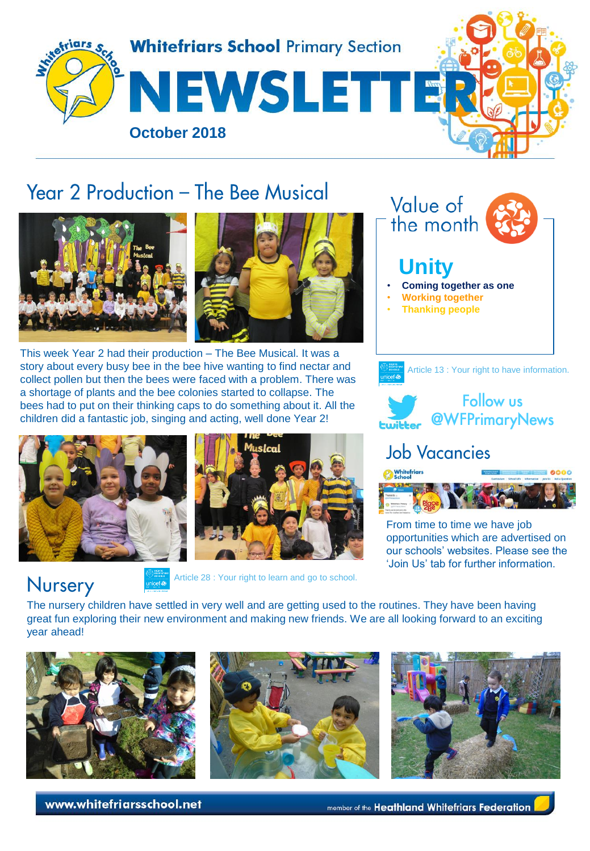

# Year 2 Production - The Bee Musical



This week Year 2 had their production – The Bee Musical. It was a story about every busy bee in the bee hive wanting to find nectar and collect pollen but then the bees were faced with a problem. There was a shortage of plants and the bee colonies started to collapse. The bees had to put on their thinking caps to do something about it. All the children did a fantastic job, singing and acting, well done Year 2!



Nursery







From time to time we have job opportunities which are advertised on our schools' websites. Please see the 'Join Us' tab for further information.

The nursery children have settled in very well and are getting used to the routines. They have been having great fun exploring their new environment and making new friends. We are all looking forward to an exciting year ahead!







www.whitefriarsschool.net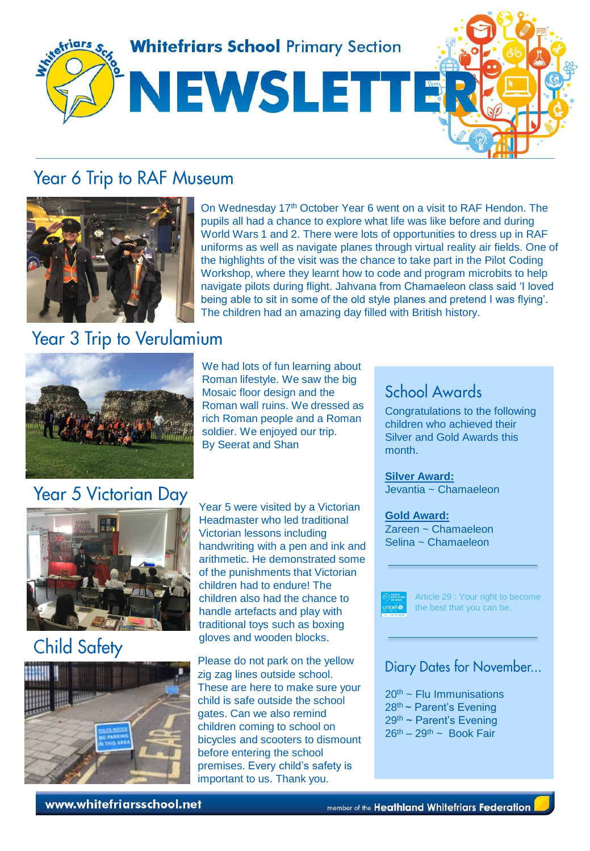

### Year 6 Trip to RAF Museum



## **Year 3 Trip to Verulamium**



## Year 5 Victorian Day





Year 5 were visited by a Victorian Headmaster who led traditional Victorian lessons including handwriting with a pen and ink and arithmetic. He demonstrated some of the punishments that Victorian children had to endure! The children also had the chance to handle artefacts and play with traditional toys such as boxing gloves and wooden blocks.

We had lots of fun learning about Roman lifestyle. We saw the big Mosaic floor design and the Roman wall ruins. We dressed as rich Roman people and a Roman soldier. We enjoyed our trip.

By Seerat and Shan

Please do not park on the yellow zig zag lines outside school. These are here to make sure your child is safe outside the school gates. Can we also remind children coming to school on bicycles and scooters to dismount before entering the school premises. Every child's safety is important to us. Thank you.

#### School Awards

Congratulations to the following children who achieved their Silver and Gold Awards this month.

**Silver Award:** Jevantia ~ Chamaeleon

**Gold Award:** Zareen ~ Chamaeleon Selina ~ Chamaeleon



Article 29 : Your right to become the best that you can be.

#### Diary Dates for November...

 $20<sup>th</sup>$  ~ Flu Immunisations  $28<sup>th</sup>$  ~ Parent's Evening 29th ~ Parent's Evening  $26<sup>th</sup> - 29<sup>th</sup>$  ~ Book Fair

www.whitefriarsschool.net